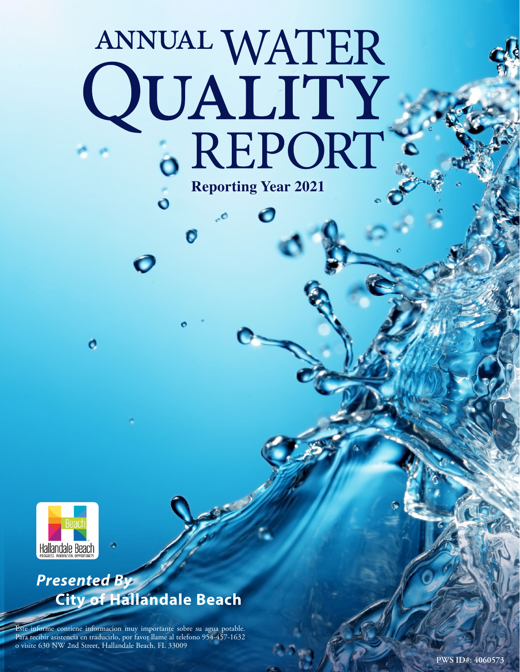# ANNUAL WATER<br>QUALITY<br>6 REPORT **Reporting Year 2021**



o

# *Presented By* **City of Hallandale Beach**

Este informe contiene informacion muy importante sobre su agua potable. Para recibir asistencia en traducirlo, por favor llame al telefono 954-457-1632 o visite 630 NW 2nd Street, Hallandale Beach, FL 33009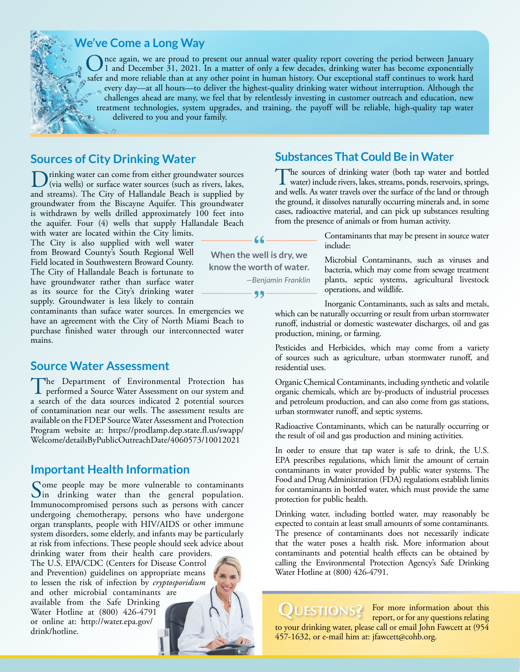

#### **We've Come a Long Way**

nce again, we are proud to present our annual water quality report covering the period between January 1 and December 31, 2021. In a matter of only a few decades, drinking water has become exponentially safer and more reliable than at any other point in human history. Our exceptional staff continues to work hard every day—at all hours—to deliver the highest-quality drinking water without interruption. Although the challenges ahead are many, we feel that by relentlessly investing in customer outreach and education, new treatment technologies, system upgrades, and training, the payoff will be reliable, high-quality tap water delivered to you and your family.

#### **Sources of City Drinking Water**

Drinking water can come from either groundwater sources<br>(via wells) or surface water sources (such as rivers, lakes,<br>and ground). The City of Hallandale Book is wonalied by and streams). The City of Hallandale Beach is supplied by groundwater from the Biscayne Aquifer. This groundwater is withdrawn by wells drilled approximately 100 feet into the aquifer. Four (4) wells that supply Hallandale Beach

with water are located within the City limits. The City is also supplied with well water from Broward County's South Regional Well Field located in Southwestern Broward County. The City of Hallandale Beach is fortunate to have groundwater rather than surface water as its source for the City's drinking water supply. Groundwater is less likely to contain

contaminants than suface water sources. In emergencies we have an agreement with the City of North Miami Beach to purchase finished water through our interconnected water mains.

#### **Source Water Assessment**

The Department of Environmental Protection has<br>performed a Source Water Assessment on our system and a search of the data sources indicated 2 potential sources of contamination near our wells. The assessment results are available on the FDEP Source Water Assessment and Protection Program website at: [https://prodlamp.dep.state.fl.us/swapp/](https://prodlamp.dep.state.fl.us/swapp/Welcome/detailsByPublicOutreachDate/4060573/10012021) [Welcome/detailsByPublicOutreachDate/4060573/10012021](https://prodlamp.dep.state.fl.us/swapp/Welcome/detailsByPublicOutreachDate/4060573/10012021)

#### **Important Health Information**

Some people may be more vulnerable to contaminants<br>In drinking water than the general population. Immunocompromised persons such as persons with cancer undergoing chemotherapy, persons who have undergone organ transplants, people with HIV/AIDS or other immune system disorders, some elderly, and infants may be particularly at risk from infections. These people should seek advice about

drinking water from their health care providers. The U.S. EPA/CDC (Centers for Disease Control and Prevention) guidelines on appropriate means to lessen the risk of infection by *cryptosporidium* and other microbial contaminants are available from the Safe Drinking Water Hotline at (800) 426-4791 or online at: [http://water.epa.gov/](http://water.epa.gov/drink/hotline) [drink/hotline](http://water.epa.gov/drink/hotline).

#### **Substances That Could Be in Water**

The sources of drinking water (both tap water and bottled<br>water) include rivers, lakes, streams, ponds, reservoirs, springs, and wells. As water travels over the surface of the land or through the ground, it dissolves naturally occurring minerals and, in some cases, radioactive material, and can pick up substances resulting from the presence of animals or from human activity.

> Contaminants that may be present in source water include:

> Microbial Contaminants, such as viruses and bacteria, which may come from sewage treatment plants, septic systems, agricultural livestock operations, and wildlife.

Inorganic Contaminants, such as salts and metals, which can be naturally occurring or result from urban stormwater runoff, industrial or domestic wastewater discharges, oil and gas production, mining, or farming.

Pesticides and Herbicides, which may come from a variety of sources such as agriculture, urban stormwater runoff, and residential uses.

Organic Chemical Contaminants, including synthetic and volatile organic chemicals, which are by-products of industrial processes and petroleum production, and can also come from gas stations, urban stormwater runoff, and septic systems.

Radioactive Contaminants, which can be naturally occurring or the result of oil and gas production and mining activities.

In order to ensure that tap water is safe to drink, the U.S. EPA prescribes regulations, which limit the amount of certain contaminants in water provided by public water systems. The Food and Drug Administration (FDA) regulations establish limits for contaminants in bottled water, which must provide the same protection for public health.

Drinking water, including bottled water, may reasonably be expected to contain at least small amounts of some contaminants. The presence of contaminants does not necessarily indicate that the water poses a health risk. More information about contaminants and potential health effects can be obtained by calling the Environmental Protection Agency's Safe Drinking Water Hotline at (800) 426-4791.

UESTIONS? For more information about this report, or for any questions relating to your drinking water, please call or email John Fawcett at (954 457-1632, or e-mail him at: [jfawcett@cohb.org](mailto:jfawcett@cohb.org).

 $66 -$ **When the well is dry, we** 

**know the worth of water.**

99

*—Benjamin Franklin*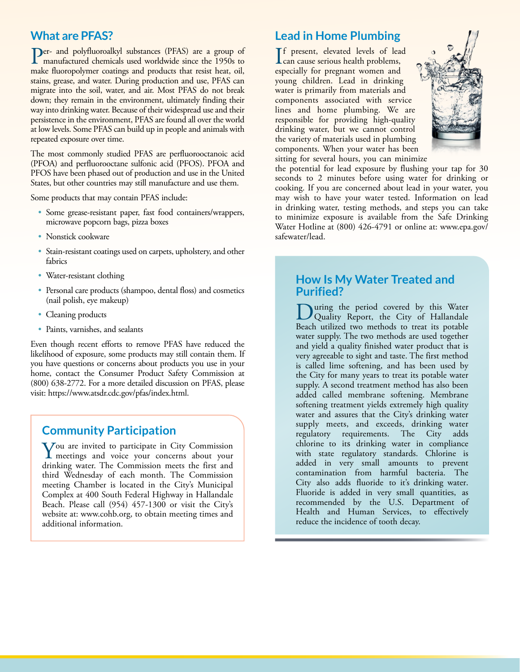# **What are PFAS?**

Per- and polyfluoroalkyl substances (PFAS) are a group of manufactured chemicals used worldwide since the 1950s to make fluoropolymer coatings and products that resist heat, oil, stains, grease, and water. During production and use, PFAS can migrate into the soil, water, and air. Most PFAS do not break down; they remain in the environment, ultimately finding their way into drinking water. Because of their widespread use and their persistence in the environment, PFAS are found all over the world at low levels. Some PFAS can build up in people and animals with repeated exposure over time.

The most commonly studied PFAS are perfluorooctanoic acid (PFOA) and perfluorooctane sulfonic acid (PFOS). PFOA and PFOS have been phased out of production and use in the United States, but other countries may still manufacture and use them.

Some products that may contain PFAS include:

- Some grease-resistant paper, fast food containers/wrappers, microwave popcorn bags, pizza boxes
- Nonstick cookware
- Stain-resistant coatings used on carpets, upholstery, and other fabrics
- Water-resistant clothing
- Personal care products (shampoo, dental floss) and cosmetics (nail polish, eye makeup)
- Cleaning products
- Paints, varnishes, and sealants

Even though recent efforts to remove PFAS have reduced the likelihood of exposure, some products may still contain them. If you have questions or concerns about products you use in your home, contact the Consumer Product Safety Commission at (800) 638-2772. For a more detailed discussion on PFAS, please visit: <https://www.atsdr.cdc.gov/pfas/index.html>.

#### **Community Participation**

You are invited to participate in City Commission I meetings and voice your concerns about your drinking water. The Commission meets the first and third Wednesday of each month. The Commission meeting Chamber is located in the City's Municipal Complex at 400 South Federal Highway in Hallandale Beach. Please call (954) 457-1300 or visit the City's website at: [www.cohb.org](http://www.cohb.org), to obtain meeting times and additional information.

## **Lead in Home Plumbing**

If present, elevated levels of lead<br>
can cause serious health problems,<br>
seriously for a grap and under and can cause serious health problems, especially for pregnant women and young children. Lead in drinking water is primarily from materials and components associated with service lines and home plumbing. We are responsible for providing high-quality drinking water, but we cannot control the variety of materials used in plumbing components. When your water has been sitting for several hours, you can minimize



the potential for lead exposure by flushing your tap for 30 seconds to 2 minutes before using water for drinking or cooking. If you are concerned about lead in your water, you may wish to have your water tested. Information on lead in drinking water, testing methods, and steps you can take to minimize exposure is available from the Safe Drinking Water Hotline at (800) 426-4791 or online at: [www.epa.gov/](http://www.epa.gov/safewater/lead) [safewater/lead.](http://www.epa.gov/safewater/lead)

#### **How Is My Water Treated and Purified?**

uring the period covered by this Water Quality Report, the City of Hallandale Beach utilized two methods to treat its potable water supply. The two methods are used together and yield a quality finished water product that is very agreeable to sight and taste. The first method is called lime softening, and has been used by the City for many years to treat its potable water supply. A second treatment method has also been added called membrane softening. Membrane softening treatment yields extremely high quality water and assures that the City's drinking water supply meets, and exceeds, drinking water regulatory requirements. The City adds chlorine to its drinking water in compliance with state regulatory standards. Chlorine is added in very small amounts to prevent contamination from harmful bacteria. The City also adds fluoride to it's drinking water. Fluoride is added in very small quantities, as recommended by the U.S. Department of Health and Human Services, to effectively reduce the incidence of tooth decay.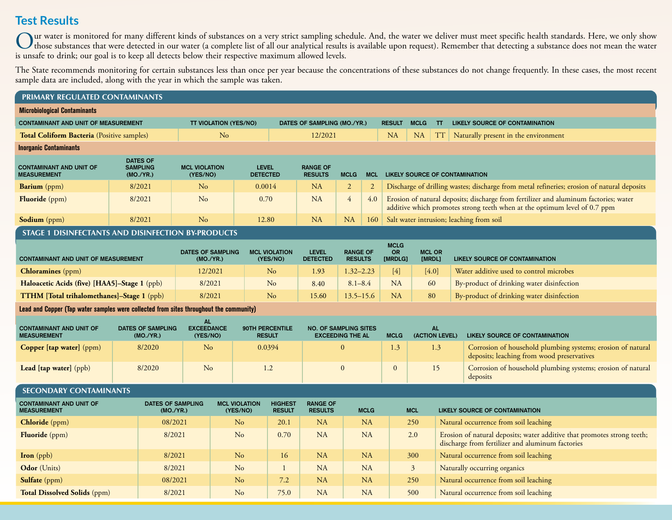# **Test Results**

Our water is monitored for many different kinds of substances on a very strict sampling schedule. And, the water we deliver must meet specific health standards. Here, we only show<br>those substances that were detected in our is unsafe to drink; our goal is to keep all detects below their respective maximum allowed levels.

The State recommends monitoring for certain substances less than once per year because the concentrations of these substances do not change frequently. In these cases, the most recent sample data are included, along with the year in which the sample was taken.

| PRIMARY REGULATED CONTAMINANTS                                                         |                                                 |                                       |                                            |                                 |                                  |                                  |                                                         |                                   |                |                                       |                                          |                         |                                       |                                                                                                                                                                   |  |
|----------------------------------------------------------------------------------------|-------------------------------------------------|---------------------------------------|--------------------------------------------|---------------------------------|----------------------------------|----------------------------------|---------------------------------------------------------|-----------------------------------|----------------|---------------------------------------|------------------------------------------|-------------------------|---------------------------------------|-------------------------------------------------------------------------------------------------------------------------------------------------------------------|--|
| <b>Microbiological Contaminants</b>                                                    |                                                 |                                       |                                            |                                 |                                  |                                  |                                                         |                                   |                |                                       |                                          |                         |                                       |                                                                                                                                                                   |  |
| <b>CONTAMINANT AND UNIT OF MEASUREMENT</b>                                             |                                                 |                                       | <b>TT VIOLATION (YES/NO)</b>               |                                 |                                  |                                  | DATES OF SAMPLING (MO./YR.)                             |                                   |                | <b>RESULT</b>                         | <b>MCLG</b>                              | <b>TT</b>               |                                       | <b>LIKELY SOURCE OF CONTAMINATION</b>                                                                                                                             |  |
| Total Coliform Bacteria (Positive samples)                                             |                                                 |                                       | No                                         |                                 |                                  | 12/2021                          |                                                         |                                   |                | <b>NA</b>                             | NA                                       | <b>TT</b>               |                                       | Naturally present in the environment                                                                                                                              |  |
| <b>Inorganic Contaminants</b>                                                          |                                                 |                                       |                                            |                                 |                                  |                                  |                                                         |                                   |                |                                       |                                          |                         |                                       |                                                                                                                                                                   |  |
| <b>CONTAMINANT AND UNIT OF</b><br><b>MEASUREMENT</b>                                   | <b>DATES OF</b><br><b>SAMPLING</b><br>(MO./YR.) |                                       | <b>MCL VIOLATION</b><br>(YES/NO)           | <b>LEVEL</b><br><b>DETECTED</b> |                                  |                                  | <b>RANGE OF</b><br><b>RESULTS</b><br><b>MCLG</b>        |                                   | <b>MCL</b>     | <b>LIKELY SOURCE OF CONTAMINATION</b> |                                          |                         |                                       |                                                                                                                                                                   |  |
| <b>Barium</b> (ppm)                                                                    |                                                 | 8/2021                                | $\rm No$                                   |                                 | 0.0014                           |                                  | NA                                                      | $\overline{2}$                    | $\overline{2}$ |                                       |                                          |                         |                                       | Discharge of drilling wastes; discharge from metal refineries; erosion of natural deposits                                                                        |  |
| Fluoride (ppm)                                                                         |                                                 | 8/2021                                | N <sub>o</sub>                             |                                 | 0.70                             |                                  | <b>NA</b>                                               | $\overline{4}$                    | 4.0            |                                       |                                          |                         |                                       | Erosion of natural deposits; discharge from fertilizer and aluminum factories; water<br>additive which promotes strong teeth when at the optimum level of 0.7 ppm |  |
| Sodium (ppm)                                                                           | 8/2021                                          |                                       |                                            | No<br>12.80                     |                                  |                                  | NA<br>NA                                                |                                   | 160            |                                       | Salt water intrusion; leaching from soil |                         |                                       |                                                                                                                                                                   |  |
| STAGE 1 DISINFECTANTS AND DISINFECTION BY-PRODUCTS                                     |                                                 |                                       |                                            |                                 |                                  |                                  |                                                         |                                   |                |                                       |                                          |                         |                                       |                                                                                                                                                                   |  |
| <b>CONTAMINANT AND UNIT OF MEASUREMENT</b>                                             |                                                 |                                       | <b>DATES OF SAMPLING</b><br>(MO./YR.)      |                                 |                                  | <b>MCL VIOLATION</b><br>(YES/NO) | <b>LEVEL</b><br><b>DETECTED</b>                         | <b>RANGE OF</b><br><b>RESULTS</b> |                | <b>MCLG</b><br><b>OR</b><br>[MRDLG]   |                                          | <b>MCL OR</b><br>[MRDL] |                                       | LIKELY SOURCE OF CONTAMINATION                                                                                                                                    |  |
| <b>Chloramines</b> (ppm)                                                               |                                                 |                                       | 12/2021                                    |                                 |                                  | N <sub>o</sub>                   | $1.32 - 2.23$<br>1.93                                   |                                   |                | $[4]$                                 |                                          | $[4.0]$                 |                                       | Water additive used to control microbes                                                                                                                           |  |
| Haloacetic Acids (five) [HAA5]-Stage 1 (ppb)                                           |                                                 |                                       |                                            | 8/2021                          |                                  | N <sub>o</sub>                   | 8.40                                                    |                                   | $8.1 - 8.4$    | <b>NA</b>                             |                                          | 60                      |                                       | By-product of drinking water disinfection                                                                                                                         |  |
| <b>TTHM</b> [Total trihalomethanes]-Stage 1 (ppb)                                      |                                                 |                                       | 8/2021                                     |                                 |                                  | No                               | 15.60                                                   |                                   | $13.5 - 15.6$  |                                       |                                          | 80                      |                                       | By-product of drinking water disinfection                                                                                                                         |  |
| Lead and Copper (Tap water samples were collected from sites throughout the community) |                                                 |                                       |                                            |                                 |                                  |                                  |                                                         |                                   |                |                                       |                                          |                         |                                       |                                                                                                                                                                   |  |
| <b>CONTAMINANT AND UNIT OF</b><br><b>MEASUREMENT</b>                                   |                                                 | <b>DATES OF SAMPLING</b><br>(MO./YR.) | <b>AL</b><br><b>EXCEEDANCE</b><br>(YES/NO) |                                 | 90TH PERCENTILE<br><b>RESULT</b> |                                  | <b>NO. OF SAMPLING SITES</b><br><b>EXCEEDING THE AL</b> |                                   |                | (ACTION LEVEL)<br><b>MCLG</b>         |                                          | <b>AL</b>               |                                       | <b>LIKELY SOURCE OF CONTAMINATION</b>                                                                                                                             |  |
| Copper [tap water] (ppm)                                                               |                                                 | 8/2020                                | N <sub>o</sub>                             |                                 | 0.0394                           |                                  | $\Omega$                                                |                                   |                | 1.3                                   |                                          | 1.3                     |                                       | Corrosion of household plumbing systems; erosion of natural<br>deposits; leaching from wood preservatives                                                         |  |
| Lead [tap water] (ppb)                                                                 |                                                 | 8/2020                                | N <sub>o</sub>                             |                                 | 1.2                              |                                  | $\mathbf{0}$                                            |                                   |                | $\mathbf{0}$                          |                                          | 15                      |                                       | Corrosion of household plumbing systems; erosion of natural<br>deposits                                                                                           |  |
| <b>SECONDARY CONTAMINANTS</b>                                                          |                                                 |                                       |                                            |                                 |                                  |                                  |                                                         |                                   |                |                                       |                                          |                         |                                       |                                                                                                                                                                   |  |
| <b>CONTAMINANT AND UNIT OF</b><br><b>MEASUREMENT</b>                                   | <b>DATES OF SAMPLING</b><br>(MO./YR.)           |                                       |                                            |                                 | <b>MCL VIOLATION</b><br>(YES/NO) | <b>HIGHEST</b><br><b>RESULT</b>  | <b>RANGE OF</b><br><b>RESULTS</b>                       | <b>MCLG</b>                       |                | <b>MCL</b>                            |                                          |                         | <b>LIKELY SOURCE OF CONTAMINATION</b> |                                                                                                                                                                   |  |
| Chloride (ppm)                                                                         |                                                 | 08/2021                               | N <sub>o</sub>                             |                                 |                                  | 20.1                             | NA                                                      |                                   | <b>NA</b>      |                                       | 250                                      |                         |                                       | Natural occurrence from soil leaching                                                                                                                             |  |
| Fluoride (ppm)                                                                         |                                                 | 8/2021                                | N <sub>o</sub>                             |                                 | 0.70                             |                                  | <b>NA</b>                                               |                                   | <b>NA</b>      |                                       | 2.0                                      |                         |                                       | Erosion of natural deposits; water additive that promotes strong teeth;<br>discharge from fertilizer and aluminum factories                                       |  |
| Iron (ppb)                                                                             | 8/2021                                          |                                       |                                            |                                 | N <sub>o</sub>                   | 16                               | <b>NA</b>                                               |                                   | <b>NA</b>      |                                       | 300                                      |                         |                                       | Natural occurrence from soil leaching                                                                                                                             |  |
| Odor (Units)                                                                           |                                                 | 8/2021                                |                                            |                                 | N <sub>o</sub><br>$\mathbf{1}$   |                                  | <b>NA</b>                                               |                                   | <b>NA</b>      |                                       | 3 <sup>2</sup>                           |                         | Naturally occurring organics          |                                                                                                                                                                   |  |
| Sulfate (ppm)                                                                          |                                                 | 08/2021                               |                                            |                                 | 7.2<br>$\rm No$                  |                                  | NA                                                      |                                   | <b>NA</b>      |                                       | 250                                      |                         | Natural occurrence from soil leaching |                                                                                                                                                                   |  |
| <b>Total Dissolved Solids (ppm)</b>                                                    |                                                 | 8/2021                                |                                            | $\rm No$                        |                                  | 75.0                             | NA                                                      |                                   | NA             |                                       | 500                                      |                         | Natural occurrence from soil leaching |                                                                                                                                                                   |  |